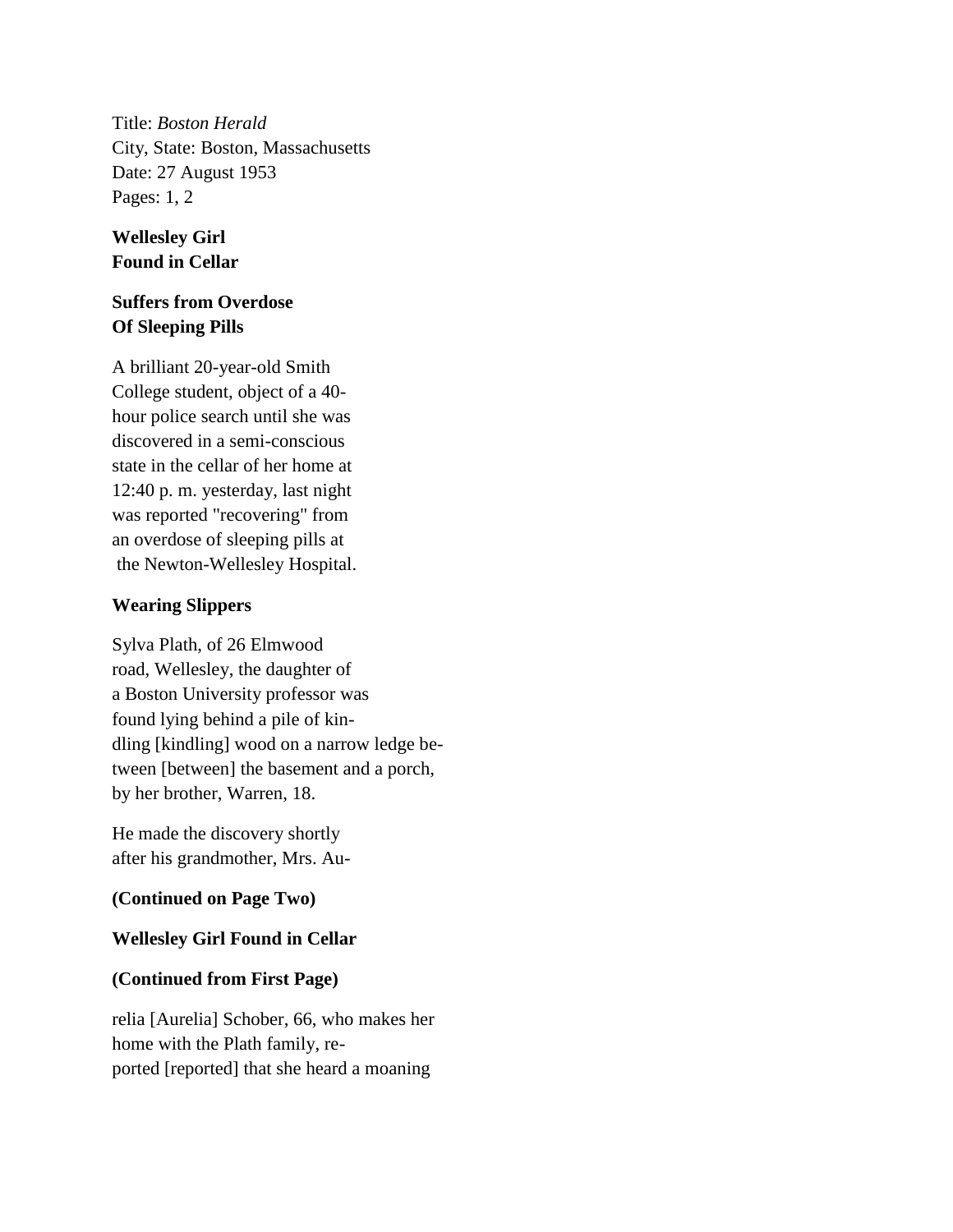Title: *Boston Herald* City, State: Boston, Massachusetts Date: 27 August 1953 Pages: 1, 2

# **Wellesley Girl Found in Cellar**

# **Suffers from Overdose Of Sleeping Pills**

A brilliant 20-year-old Smith College student, object of a 40 hour police search until she was discovered in a semi-conscious state in the cellar of her home at 12:40 p. m. yesterday, last night was reported "recovering" from an overdose of sleeping pills at the Newton-Wellesley Hospital.

#### **Wearing Slippers**

Sylva Plath, of 26 Elmwood road, Wellesley, the daughter of a Boston University professor was found lying behind a pile of kindling [kindling] wood on a narrow ledge between [between] the basement and a porch, by her brother, Warren, 18.

He made the discovery shortly after his grandmother, Mrs. Au-

**(Continued on Page Two)**

## **Wellesley Girl Found in Cellar**

## **(Continued from First Page)**

relia [Aurelia] Schober, 66, who makes her home with the Plath family, reported [reported] that she heard a moaning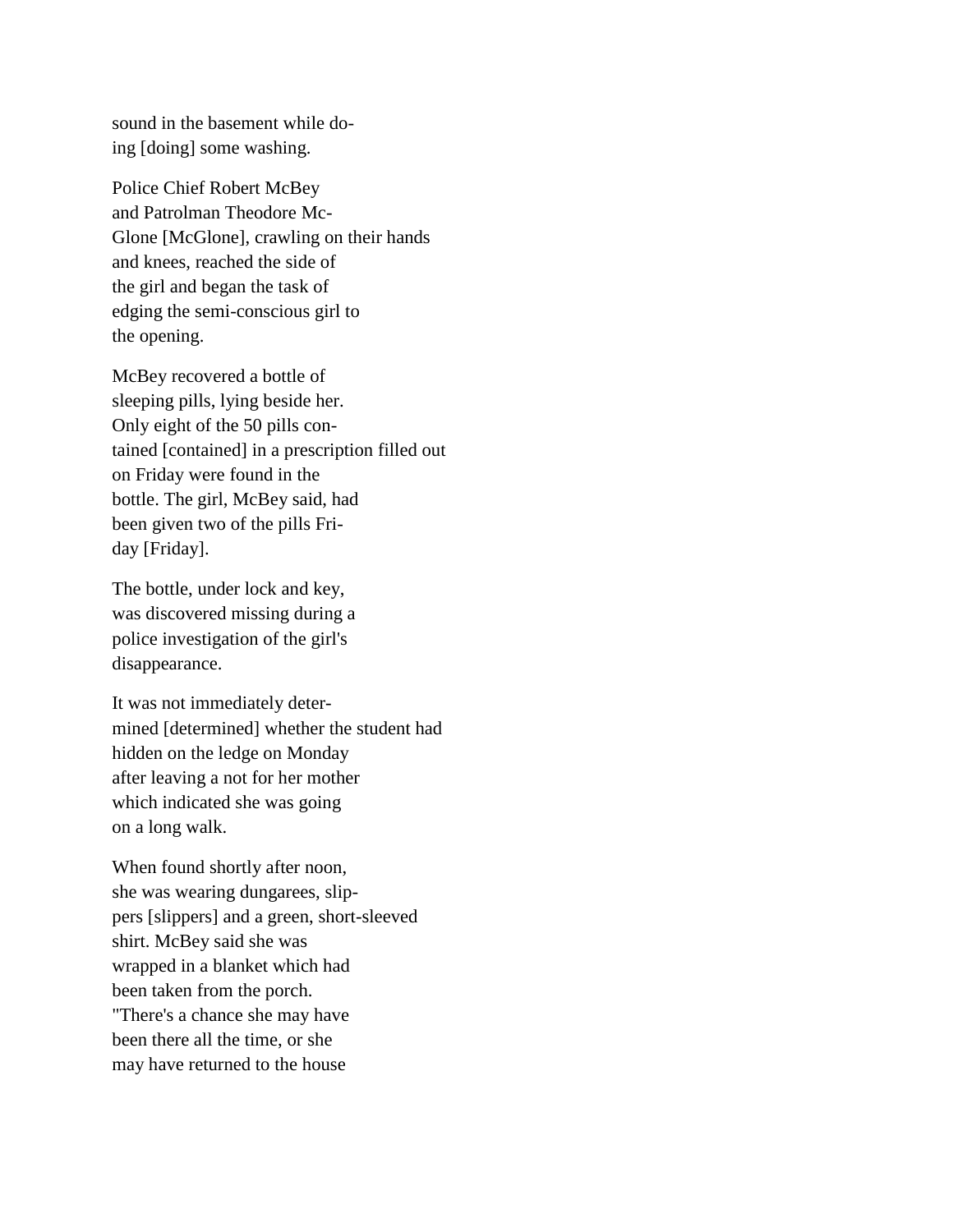sound in the basement while doing [doing] some washing.

Police Chief Robert McBey and Patrolman Theodore Mc-Glone [McGlone], crawling on their hands and knees, reached the side of the girl and began the task of edging the semi-conscious girl to the opening.

McBey recovered a bottle of sleeping pills, lying beside her. Only eight of the 50 pills contained [contained] in a prescription filled out on Friday were found in the bottle. The girl, McBey said, had been given two of the pills Friday [Friday].

The bottle, under lock and key, was discovered missing during a police investigation of the girl's disappearance.

It was not immediately determined [determined] whether the student had hidden on the ledge on Monday after leaving a not for her mother which indicated she was going on a long walk.

When found shortly after noon, she was wearing dungarees, slippers [slippers] and a green, short-sleeved shirt. McBey said she was wrapped in a blanket which had been taken from the porch. "There's a chance she may have been there all the time, or she may have returned to the house